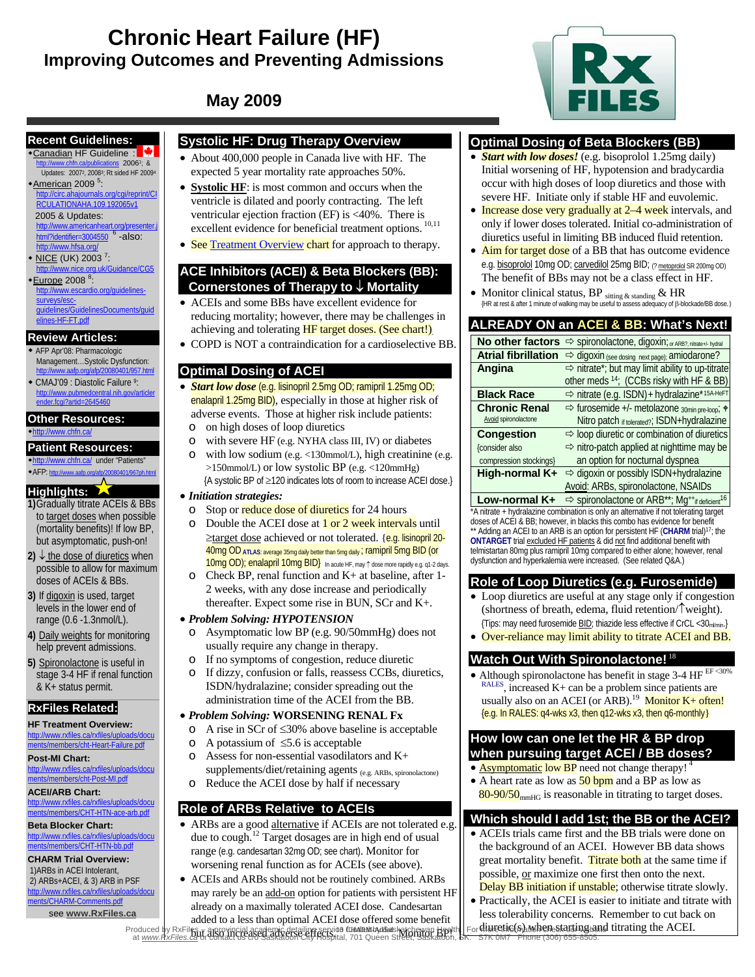# **Chronic Heart Failure (HF) Improving Outcomes and Preventing Admissions**



# **May 2009**

#### **Recent Guidelines:**

◆Canadian HF Guideline : <sup>●</sup> http://www.chfn.ca/publications 20061; & Updates: 20072, 20083; Rt sided HF 20094 \*American 2009<sup>5</sup>:

#### http://circ.ahajournals.org/cgi/reprint/CI RCULATIONAHA.109.192065v1

2005 & Updates:

- http://www.americanheart.org/presenter.j html?identifier= $3004550$   $<sup>6</sup>$  -also:</sup> http://www.hfsa.org/
- $*$  <u>NICE</u> (UK) 2003<sup>7</sup>:
- http://www.nice.org.uk/Guidance/CG5 \*Europe 2008<sup>8</sup>:

http://www.escardio.org/guidelinessurveys/escsurveys/esc-<br>quidelines/GuidelinesDocuments/quid

## elines-HF-FT.pdf

#### **Review Articles:**

- AFP Apr'08: Pharmacologic Management…Systolic Dysfunction: http://www.aafp.org/afp/20080401/957.html
- CMAJ'09 : Diastolic Failure 9: http://www.pubmedcentral.nih.gov/articler ender.fcgi?artid=2645460

#### **Other Resources:**

http://www.chfn.ca/

#### **Patient Resources:**

http://www.chfn.ca/ under "Patients" AFP: http://www.aafp.org/afp/20080401/967ph.html

#### **Highlights:**

- **1)**Gradually titrate ACEIs & BBs to target doses when possible (mortality benefits)! If low BP, but asymptomatic, push-on!
- **2)** ↓ the dose of diuretics when possible to allow for maximum doses of ACEIs & BBs.
- **3)** If digoxin is used, target levels in the lower end of range (0.6 -1.3nmol/L).
- **4)** Daily weights for monitoring help prevent admissions.
- **5)** Spironolactone is useful in stage 3-4 HF if renal function & K+ status permit.

### **RxFiles Related:**

#### **HF Treatment Overview:**  http://www.rxfiles.ca/rxfiles/uploads/docu ments/members/cht-Heart-Failure.pdf

**Post-MI Chart:**  http://www.rxfiles.ca/rxfiles/uploads/docu

ments/members/cht-Post-MI.pdf

#### **ACEI/ARB Chart:**  http://www.rxfiles.ca/rxfiles/uploads/docu

ments/members/CHT-HTN-ace-arb.pdf **Beta Blocker Chart:**  http://www.rxfiles.ca/rxfiles/uploads/docu

## ments/members/CHT-HTN-bb.pdf

**CHARM Trial Overview:**  1)ARBs in ACEI Intolerant, 2) ARBs+ACEI, & 3) ARB in PSF http://www.rxfiles.ca/rxfiles/uploads/docu

ments/CHARM-Comments.pdf see **www.RxFiles.ca**

## **Systolic HF: Drug Therapy Overview**

- About 400,000 people in Canada live with HF. The expected 5 year mortality rate approaches 50%.
- **Systolic HF**: is most common and occurs when the ventricle is dilated and poorly contracting. The left ventricular ejection fraction (EF) is <40%. There is excellent evidence for beneficial treatment options.  $^{10,11}$
- See Treatment Overview chart for approach to therapy.

#### **ACE Inhibitors (ACEI) & Beta Blockers (BB): Cornerstones of Therapy to** ↓ **Mortality**

- ACEIs and some BBs have excellent evidence for reducing mortality; however, there may be challenges in achieving and tolerating **HF** target doses. (See chart!).
- COPD is NOT a contraindication for a cardioselective BB.

### **Optimal Dosing of ACEI**

- *Start low dose* (e.g. lisinopril 2.5mg OD; ramipril 1.25mg OD; enalapril 1.25mg BID), especially in those at higher risk of adverse events. Those at higher risk include patients:
	- o on high doses of loop diuretics
	- o with severe HF (e.g. NYHA class III, IV) or diabetes
	- o with low sodium (e.g. <130mmol/L), high creatinine (e.g. >150mmol/L) or low systolic BP (e.g. <120mmHg) {A systolic BP of ≥120 indicates lots of room to increase ACEI dose.}

#### • *Initiation strategies:*

- o Stop or reduce dose of diuretics for 24 hours
- $\circ$  Double the ACEI dose at  $1$  or  $2$  week intervals until ≥target dose achieved or not tolerated. {e.g. lisinopril 20-40mg OD**ATLAS**: average 35mg daily better than 5mg daily ; ramipril 5mg BID (or 10mg OD); enalapril 10mg BID} In acute HF, may ↑ dose more rapidly e.g. q1-2 days.
- o Check BP, renal function and K+ at baseline, after 1- 2 weeks, with any dose increase and periodically thereafter. Expect some rise in BUN, SCr and K+.

#### • *Problem Solving: HYPOTENSION*

- o Asymptomatic low BP (e.g. 90/50mmHg) does not usually require any change in therapy.
- o If no symptoms of congestion, reduce diuretic
- o If dizzy, confusion or falls, reassess CCBs, diuretics, ISDN/hydralazine; consider spreading out the administration time of the ACEI from the BB.

#### • *Problem Solving:* **WORSENING RENAL Fx**

- o A rise in SCr of ≤30% above baseline is acceptable
- o A potassium of ≤5.6 is acceptable
- o Assess for non-essential vasodilators and K+ supplements/diet/retaining agents (e.g. ARBs, spironolactone)
- o Reduce the ACEI dose by half if necessary

### **Role of ARBs Relative to ACEIs**

- ARBs are a good alternative if ACEIs are not tolerated e.g. due to cough.<sup>12</sup> Target dosages are in high end of usual range (e.g. candesartan 32mg OD; see chart). Monitor for worsening renal function as for ACEIs (see above).
- ACEIs and ARBs should not be routinely combined. ARBs may rarely be an add-on option for patients with persistent HF already on a maximally tolerated ACEI dose. Candesartan added to a less than optimal ACEI dose offered some benefit but also increased adverse effects.13 CHARM-Added Monitor BP! Produced by RxFiles – a provincial academic detailing service funded by Saskatchewan Health. For more information check our website at *www.RxFiles.ca* or contact us c/o Saskatoon City Hospital, 701 Queen Street, Saskatoon, SK. S7K 0M7 Phone (306) 655-8505.

#### **Optimal Dosing of Beta Blockers (BB)**

- *Start with low doses!* (e.g. bisoprolol 1.25mg daily) Initial worsening of HF, hypotension and bradycardia occur with high doses of loop diuretics and those with severe HF. Initiate only if stable HF and euvolemic.
- Increase dose very gradually at 2–4 week intervals, and only if lower doses tolerated. Initial co-administration of diuretics useful in limiting BB induced fluid retention.
- Aim for target dose of a BB that has outcome evidence e.g. bisoprolol 10mg OD; carvedilol 25mg BID; (? metoprolol SR 200mg OD) The benefit of BBs may not be a class effect in HF.
- Monitor clinical status, BP sitting & standing & HR {HR at rest & after 1 minute of walking may be useful to assess adequacy of β-blockade/BB dose.}

## **ALREADY ON an ACEI & BB: What's Next!**

|                            | No other factors <>> spironolactone, digoxin; or ARB?, nitrate+/- hydral |
|----------------------------|--------------------------------------------------------------------------|
| <b>Atrial fibrillation</b> | ⇒ digoxin (see dosing next page); amiodarone?                            |
| Angina                     | $\Rightarrow$ nitrate*; but may limit ability to up-titrate              |
|                            | other meds 14; (CCBs risky with HF & BB)                                 |
| <b>Black Race</b>          | $\Rightarrow$ nitrate (e.g. ISDN) + hydralazine*15A-HeFT                 |
| <b>Chronic Renal</b>       | $\Rightarrow$ furosemide +/- metolazone $_{30min\,pre\,loop}$ +          |
| Avoid spironolactone       | Nitro patch if tolerated?; ISDN+hydralazine                              |
| <b>Congestion</b>          | $\Rightarrow$ loop diuretic or combination of diuretics                  |
| {consider also             | $\Rightarrow$ nitro-patch applied at nighttime may be                    |
| compression stockings}     | an option for nocturnal dyspnea                                          |
| High-normal K+             | $\Rightarrow$ digoxin or possibly ISDN+hydralazine                       |
|                            | Avoid: ARBs, spironolactone, NSAIDs                                      |

**Low-normal K+**  $\Rightarrow$  spironolactone or ARB<sup>\*\*</sup>; Mg<sup>++</sup>if deficient<sup>16</sup> \*A nitrate + hydralazine combination is only an alternative if not tolerating target doses of ACEI & BB; however, in blacks this combo has evidence for benefit \*\* Adding an ACEI to an ARB is an option for persistent HF (CHARM trial)<sup>17</sup>; the **ONTARGET** trial excluded HF patients & did not find additional benefit with telmistartan 80mg plus ramipril 10mg compared to either alone; however, renal dysfunction and hyperkalemia were increased. (See related Q&A.)

### **Role of Loop Diuretics (e.g. Furosemide)**

- Loop diuretics are useful at any stage only if congestion (shortness of breath, edema, fluid retention/↑weight). {Tips: may need furosemide BID; thiazide less effective if CrCL <30ml/min.}
- Over-reliance may limit ability to titrate ACEI and BB.

### **Watch Out With Spironolactone!**<sup>18</sup>

• Although spironolactone has benefit in stage  $3-4$  HF EF <30% RALES, increased K+ can be a problem since patients are usually also on an ACEI (or ARB).<sup>19</sup> Monitor  $K+$  often! {e.g. In RALES: q4-wks x3, then q12-wks x3, then q6-monthly}

#### **How low can one let the HR & BP drop when pursuing target ACEI / BB doses?**

- **Asymptomatic low BP** need not change therapy! • A heart rate as low as  $50$  bpm and a BP as low as
- $80-90/50$ <sub>mmHG</sub> is reasonable in titrating to target doses.

## **Which should I add 1st; the BB or the ACEI?**

- ACEIs trials came first and the BB trials were done on the background of an ACEI. However BB data shows great mortality benefit. Titrate both at the same time if possible, or maximize one first then onto the next. Delay BB initiation if unstable; otherwise titrate slowly.
- Practically, the ACEI is easier to initiate and titrate with less tolerability concerns. Remember to cut back on For diuretic(s) when starting and titrating the ACEI.
-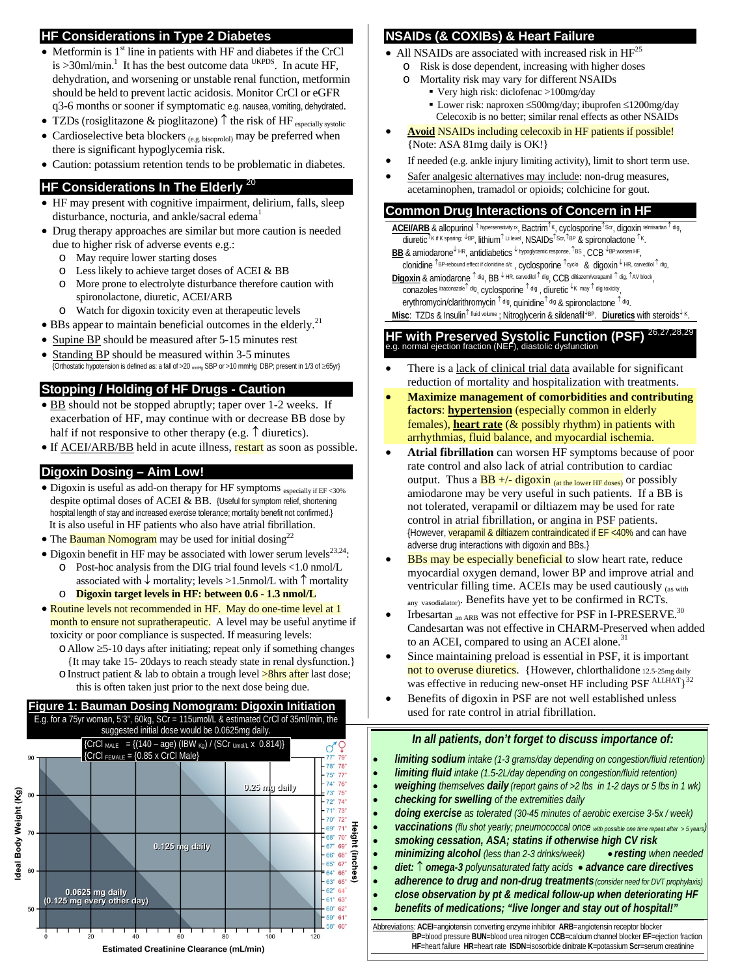#### **HF Considerations in Type 2 Diabetes**

- Metformin is  $1<sup>st</sup>$  line in patients with HF and diabetes if the CrCl is >30ml/min.<sup>1</sup> It has the best outcome data <sup>UKPDS</sup>. In acute HF, dehydration, and worsening or unstable renal function, metformin should be held to prevent lactic acidosis. Monitor CrCl or eGFR q3-6 months or sooner if symptomatic e.g. nausea, vomiting, dehydrated.
- TZDs (rosiglitazone & pioglitazone)  $\uparrow$  the risk of HF especially systolic
- Cardioselective beta blockers  $_{(e.g. \text{ bisoprolol})}$  may be preferred when there is significant hypoglycemia risk.

• Caution: potassium retention tends to be problematic in diabetes.

#### **HF Considerations In The Elderly**

- HF may present with cognitive impairment, delirium, falls, sleep disturbance, nocturia, and ankle/sacral edema<sup>1</sup>
- Drug therapy approaches are similar but more caution is needed due to higher risk of adverse events e.g.:
	- o May require lower starting doses
	- o Less likely to achieve target doses of ACEI & BB
	- o More prone to electrolyte disturbance therefore caution with spironolactone, diuretic, ACEI/ARB
	- o Watch for digoxin toxicity even at therapeutic levels
- BBs appear to maintain beneficial outcomes in the elderly.<sup>21</sup>
- Supine BP should be measured after 5-15 minutes rest
- Standing BP should be measured within 3-5 minutes {Orthostatic hypotension is defined as: a fall of >20 mmHg SBP or >10 mmHg DBP; present in 1/3 of ≥65yr}

## **Stopping / Holding of HF Drugs - Caution**

- BB should not be stopped abruptly; taper over 1-2 weeks. If exacerbation of HF, may continue with or decrease BB dose by half if not responsive to other therapy (e.g.  $\uparrow$  diuretics).
- If **ACEI/ARB/BB** held in acute illness, **restart** as soon as possible.

#### **Digoxin Dosing – Aim Low!**

- Digoxin is useful as add-on therapy for HF symptoms especially if EF <30% despite optimal doses of ACEI & BB. {Useful for symptom relief, shortening hospital length of stay and increased exercise tolerance; mortality benefit not confirmed.} It is also useful in HF patients who also have atrial fibrillation.
- The **Bauman Nomogram** may be used for initial dosing<sup>22</sup>
- Digoxin benefit in HF may be associated with lower serum levels $^{23,24}$ : o Post-hoc analysis from the DIG trial found levels <1.0 nmol/L
	- associated with  $\downarrow$  mortality; levels >1.5nmol/L with  $\uparrow$  mortality o **Digoxin target levels in HF: between 0.6 - 1.3 nmol/L**
- Routine levels not recommended in HF. May do one-time level at 1 month to ensure not supratherapeutic. A level may be useful anytime if toxicity or poor compliance is suspected. If measuring levels:
	- oAllow ≥5-10 days after initiating; repeat only if something changes {It may take 15- 20days to reach steady state in renal dysfunction.}
	- $\circ$  Instruct patient & lab to obtain a trough level  $\geq$ 8hrs after last dose; this is often taken just prior to the next dose being due.

#### **Figure 1: Bauman Dosing Nomogram: Digoxin Initiation** E.g. for a 75yr woman, 5'3", 60kg, SCr = 115umol/L & estimated CrCl of 35ml/min, the suggested initial dose would be 0.0625mg daily.



#### **NSAIDs (& COXIBs) & Heart Failure**

- All NSAIDs are associated with increased risk in  $HF<sup>25</sup>$ 
	- o Risk is dose dependent, increasing with higher doses o Mortality risk may vary for different NSAIDs
		- Very high risk: diclofenac >100mg/day
			- Lower risk: naproxen ≤500mg/day; ibuprofen ≤1200mg/day Celecoxib is no better; similar renal effects as other NSAIDs
- **Avoid** NSAIDs including celecoxib in HF patients if possible! {Note: ASA 81mg daily is OK!}
- If needed (e.g. ankle injury limiting activity), limit to short term use.
- Safer analgesic alternatives may include: non-drug measures, acetaminophen, tramadol or opioids; colchicine for gout.

#### **Common Drug Interactions of Concern in HF**

**ACEI/ARB** & allopurinol <sup>↑</sup> hypersensitivity rx, Bactrim<sup>↑</sup>K, cyclosporine<sup>↑</sup>Scr, digoxin telmisartan <sup>↑</sup> dig, diuretic<sup>↑</sup>K if K sparing; ↓BP, lithium<sup>↑ Li level</sup>, NSAIDs<sup>↑</sup>Scr,↑BP & spironolactone <sup>↑k</sup>.

**BB** & amiodarone<sup>↓ HR</sup>, antidiabetics ↓ hypoglycemic response, 1BS, CCB +BP,worsen HF clonidine <sup>↑</sup>BP-rebound effect if clonidine d/c , cyclosporine <sup>↑</sup>cyclo & digoxin <sup>↓</sup> HR, carvedilol <sup>↑</sup> dig.

**Digoxin** & amiodarone <sup>↑ dig</sup>, BB ↓ HR, carvedilol <sup>↑ dig</sup>, CCB diltiazem/verapamil ↑ dig, ↑AV block,

conazoles itraconazole<sup>↑</sup> dig, cyclosporine <sup>↑</sup> dig , diuretic <sup>↓</sup>K may <sup>↑</sup> dig toxicity,

erythromycin/clarithromycin <sup>↑ dig</sup>, quinidine<sup>↑ dig</sup> & spironolactone <sup>↑ dig</sup>.

**Misc**: TZDs & Insulin<sup>↑</sup> fluid volume ; Nitroglycerin & sildenafil<sup>↓</sup>BP. **Diuretics** with steroids<sup>↓</sup> K.

# **HF with Preserved Systolic Function (PSF)**  $^{26,27,28,29}$  e.g. normal ejection fraction (NEF), diastolic dysfunction

- There is a lack of clinical trial data available for significant reduction of mortality and hospitalization with treatments.
- **Maximize management of comorbidities and contributing factors**: **hypertension** (especially common in elderly females), **heart rate** (& possibly rhythm) in patients with arrhythmias, fluid balance, and myocardial ischemia.
- **Atrial fibrillation** can worsen HF symptoms because of poor rate control and also lack of atrial contribution to cardiac output. Thus a  $\overline{BB}$  +/- digoxin (at the lower HF doses)</sub> or possibly amiodarone may be very useful in such patients. If a BB is not tolerated, verapamil or diltiazem may be used for rate control in atrial fibrillation, or angina in PSF patients. {However, verapamil & diltiazem contraindicated if EF <40% and can have adverse drug interactions with digoxin and BBs.}
- BBs may be especially beneficial to slow heart rate, reduce myocardial oxygen demand, lower BP and improve atrial and ventricular filling time. ACEIs may be used cautiously (as with any vasodialator). Benefits have yet to be confirmed in RCTs.
- Irbesartan  $_{an ARB}$  was not effective for PSF in I-PRESERVE.<sup>30</sup> Candesartan was not effective in CHARM-Preserved when added to an ACEI, compared to using an ACEI alone.<sup>31</sup>
- Since maintaining preload is essential in PSF, it is important not to overuse diuretics. {However, chlorthalidone 12.5-25mg daily was effective in reducing new-onset HF including PSF  $^{\text{ALLHAT}}$ <sup>32</sup>
- Benefits of digoxin in PSF are not well established unless used for rate control in atrial fibrillation.

#### *In all patients, don't forget to discuss importance of:*

• *limiting sodium intake (1-3 grams/day depending on congestion/fluid retention)*  • *limiting fluid intake (1.5-2L/day depending on congestion/fluid retention)* • *weighing themselves daily (report gains of >2 lbs in 1-2 days or 5 lbs in 1 wk)* • *checking for swelling of the extremities daily*  • *doing exercise as tolerated (30-45 minutes of aerobic exercise 3-5x / week)*  • *vaccinations (flu shot yearly; pneumococcal once with possible one time repeat after > 5 years)* • *smoking cessation, ASA; statins if otherwise high CV risk* • *minimizing alcohol (less than 2-3 drinks/week)* • *resting when needed* • *diet:* ↑ *omega-3 polyunsaturated fatty acids* • *advance care directives* • *adherence to drug and non-drug treatments(consider need for DVT prophylaxis)* • *close observation by pt & medical follow-up when deteriorating HF*  • *benefits of medications; "live longer and stay out of hospital!"* 

Abbreviations: **ACEI**=angiotensin converting enzyme inhibitor **ARB**=angiotensin receptor blocker **BP**=blood pressure **BUN**=blood urea nitrogen **CCB**=calcium channel blocker **EF**=ejection fraction **HF**=heart failure **HR**=heart rate **ISDN**=isosorbide dinitrate **K**=potassium **Scr**=serum creatinine